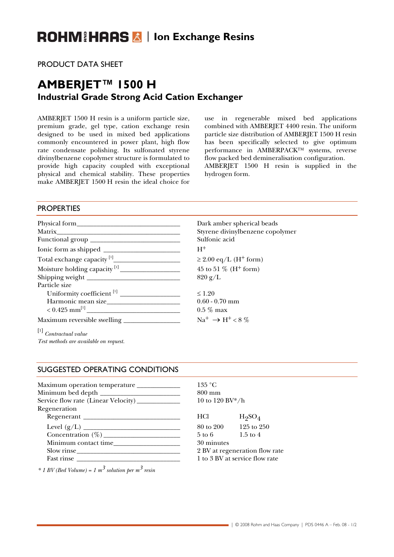# **ROHM HARS A | Ion Exchange Resins**

PRODUCT DATA SHEET

# **AMBERJET™ 1500 H Industrial Grade Strong Acid Cation Exchanger**

AMBERJET 1500 H resin is a uniform particle size, premium grade, gel type, cation exchange resin designed to be used in mixed bed applications commonly encountered in power plant, high flow rate condensate polishing. Its sulfonated styrene divinylbenzene copolymer structure is formulated to provide high capacity coupled with exceptional physical and chemical stability. These properties make AMBERJET 1500 H resin the ideal choice for

use in regenerable mixed bed applications combined with AMBERJET 4400 resin. The uniform particle size distribution of AMBERJET 1500 H resin has been specifically selected to give optimum performance in AMBERPACK™ systems, reverse flow packed bed demineralisation configuration. AMBERJET 1500 H resin is supplied in the

hydrogen form.

## **PROPERTIES**

| Physical form | Dark a      |
|---------------|-------------|
|               | Styren      |
|               | Sulfon      |
|               | $H^+$       |
|               | $\geq 2.00$ |
|               | $45$ to $5$ |
|               | 820 g/      |
| Particle size |             |
|               | $\leq 1.20$ |
|               | $0.60 - C$  |
|               | $0.5\ \%$ 1 |
|               | $Na^+$ –    |

Dark amber spherical beads Styrene divinylbenzene copolymer Sulfonic acid  $\geq$  2.00 eq/L (H<sup>+</sup> form) 45 to 51 % ( $H^+$  form)  $820 g/L$ 

 $0.60 - 0.70$  mm  $0.5 \ \%$  max  $\mathrm{Na^+} \rightarrow \mathrm{H^+} \div 8$  %

[1]  *Contractual value Test methods are available on request.* 

### SUGGESTED OPERATING CONDITIONS

| Maximum operation temperature _____________ | $135\text{ °C}$    |                           |  |
|---------------------------------------------|--------------------|---------------------------|--|
|                                             | $800 \text{ mm}$   |                           |  |
| Service flow rate (Linear Velocity)         |                    | 10 to 120 BV*/h           |  |
| Regeneration                                |                    |                           |  |
|                                             | HCl                | $H_2SO_4$                 |  |
|                                             | 80 to 200 125 to 2 |                           |  |
|                                             | 5 to 6 1.5 to 4    |                           |  |
|                                             | 30 minutes         |                           |  |
| $Slow$ rinse                                |                    | 2 BV at regeneration fl   |  |
| Fast rinse                                  |                    | 1 to 3 BV at service flow |  |
|                                             |                    |                           |  |

*\* 1 BV (Bed Volume) = 1 m3 solution per m3 resin*

10 to 120 BV\*/h 80 to 200 125 to 250

30 minutes 2 BV at regeneration flow rate 1 to 3 BV at service flow rate